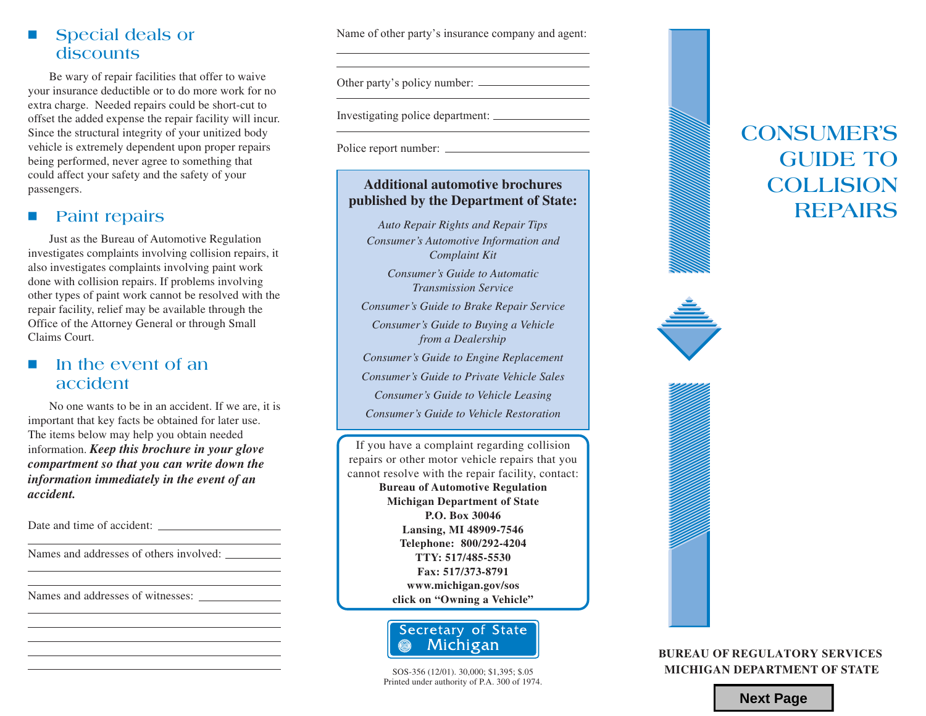

# **CONSUMER'S GUIDE TO COLLISION REPAIRS**



### **Next Page**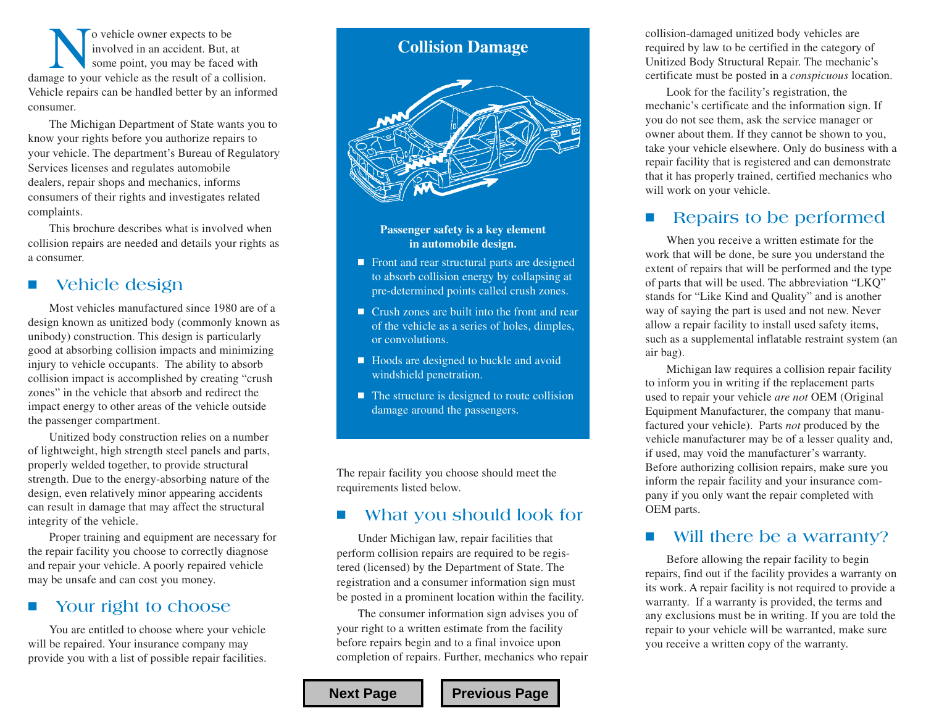No vehicle owner expects to be<br>
involved in an accident. But, at<br>
damage to your vehicle as the result of a collision. involved in an accident. But, at some point, you may be faced with Vehicle repairs can be handled better by an informed consumer.

The Michigan Department of State wants you to know your rights before you authorize repairs to your vehicle. The department's Bureau of Regulatory Services licenses and regulates automobile dealers, repair shops and mechanics, informs consumers of their rights and investigates related complaints.

This brochure describes what is involved when collision repairs are needed and details your rights as a consumer.

### **Vehicle design**

Most vehicles manufactured since 1980 are of a design known as unitized body (commonly known as unibody) construction. This design is particularly good at absorbing collision impacts and minimizing injury to vehicle occupants. The ability to absorb collision impact is accomplished by creating "crush zones" in the vehicle that absorb and redirect the impact energy to other areas of the vehicle outside the passenger compartment.

Unitized body construction relies on a number of lightweight, high strength steel panels and parts, properly welded together, to provide structural strength. Due to the energy-absorbing nature of the design, even relatively minor appearing accidents can result in damage that may affect the structural integrity of the vehicle.

Proper training and equipment are necessary for the repair facility you choose to correctly diagnose and repair your vehicle. A poorly repaired vehicle may be unsafe and can cost you money.

#### **Your right to choose**

You are entitled to choose where your vehicle will be repaired. Your insurance company may provide you with a list of possible repair facilities.

## **Collision Damage**



#### **Passenger safety is a key element in automobile design.**

- Front and rear structural parts are designed to absorb collision energy by collapsing at pre-determined points called crush zones.
- Crush zones are built into the front and rear of the vehicle as a series of holes, dimples, or convolutions.
- Hoods are designed to buckle and avoid windshield penetration.
- $\blacksquare$  The structure is designed to route collision damage around the passengers.

The repair facility you choose should meet the requirements listed below.

#### **What you should look for**

Under Michigan law, repair facilities that perform collision repairs are required to be registered (licensed) by the Department of State. The registration and a consumer information sign must be posted in a prominent location within the facility.

The consumer information sign advises you of your right to a written estimate from the facility before repairs begin and to a final invoice upon completion of repairs. Further, mechanics who repair

collision-damaged unitized body vehicles are required by law to be certified in the category of Unitized Body Structural Repair. The mechanic's certificate must be posted in a *conspicuous* location.

Look for the facility's registration, the mechanic's certificate and the information sign. If you do not see them, ask the service manager or owner about them. If they cannot be shown to you, take your vehicle elsewhere. Only do business with a repair facility that is registered and can demonstrate that it has properly trained, certified mechanics who will work on your vehicle.

#### **Repairs to be performed**

When you receive a written estimate for the work that will be done, be sure you understand the extent of repairs that will be performed and the type of parts that will be used. The abbreviation "LKQ" stands for "Like Kind and Quality" and is another way of saying the part is used and not new. Never allow a repair facility to install used safety items, such as a supplemental inflatable restraint system (an air bag).

Michigan law requires a collision repair facility to inform you in writing if the replacement parts used to repair your vehicle *are not* OEM (Original Equipment Manufacturer, the company that manufactured your vehicle). Parts *not* produced by the vehicle manufacturer may be of a lesser quality and, if used, may void the manufacturer's warranty. Before authorizing collision repairs, make sure you inform the repair facility and your insurance company if you only want the repair completed with OEM parts.

#### **Will there be a warranty?**

Before allowing the repair facility to begin repairs, find out if the facility provides a warranty on its work. A repair facility is not required to provide a warranty. If a warranty is provided, the terms and any exclusions must be in writing. If you are told the repair to your vehicle will be warranted, make sure you receive a written copy of the warranty.